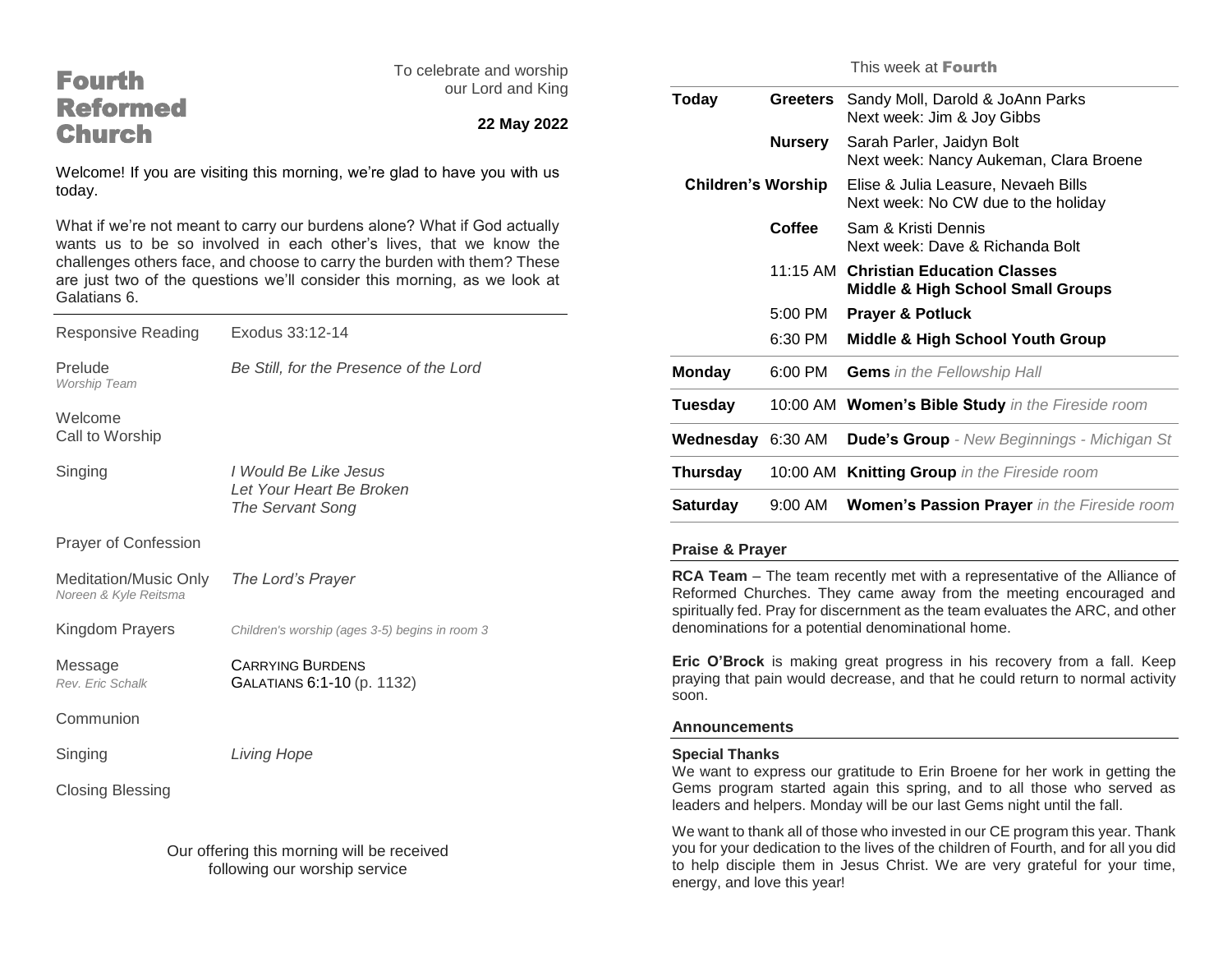| <b>Fourth</b>                                                                                                                                                                                                                                                                                                                                                                                                | To celebrate and worship<br>our Lord and King<br>22 May 2022 | This week at Fourth                                                                                                                                                                                                                                |                |                                                                                      |
|--------------------------------------------------------------------------------------------------------------------------------------------------------------------------------------------------------------------------------------------------------------------------------------------------------------------------------------------------------------------------------------------------------------|--------------------------------------------------------------|----------------------------------------------------------------------------------------------------------------------------------------------------------------------------------------------------------------------------------------------------|----------------|--------------------------------------------------------------------------------------|
| <b>Reformed</b>                                                                                                                                                                                                                                                                                                                                                                                              |                                                              | <b>Today</b>                                                                                                                                                                                                                                       |                | Greeters Sandy Moll, Darold & JoAnn Parks<br>Next week: Jim & Joy Gibbs              |
| <b>Church</b>                                                                                                                                                                                                                                                                                                                                                                                                |                                                              |                                                                                                                                                                                                                                                    | <b>Nursery</b> | Sarah Parler, Jaidyn Bolt<br>Next week: Nancy Aukeman, Clara Broene                  |
| Welcome! If you are visiting this morning, we're glad to have you with us<br>today.<br>What if we're not meant to carry our burdens alone? What if God actually<br>wants us to be so involved in each other's lives, that we know the<br>challenges others face, and choose to carry the burden with them? These<br>are just two of the questions we'll consider this morning, as we look at<br>Galatians 6. |                                                              | <b>Children's Worship</b>                                                                                                                                                                                                                          |                | Elise & Julia Leasure, Nevaeh Bills<br>Next week: No CW due to the holiday           |
|                                                                                                                                                                                                                                                                                                                                                                                                              |                                                              |                                                                                                                                                                                                                                                    | <b>Coffee</b>  | Sam & Kristi Dennis<br>Next week: Dave & Richanda Bolt                               |
|                                                                                                                                                                                                                                                                                                                                                                                                              |                                                              |                                                                                                                                                                                                                                                    |                | 11:15 AM Christian Education Classes<br><b>Middle &amp; High School Small Groups</b> |
|                                                                                                                                                                                                                                                                                                                                                                                                              |                                                              |                                                                                                                                                                                                                                                    | 5:00 PM        | <b>Prayer &amp; Potluck</b>                                                          |
| <b>Responsive Reading</b>                                                                                                                                                                                                                                                                                                                                                                                    | Exodus 33:12-14                                              |                                                                                                                                                                                                                                                    | 6:30 PM        | <b>Middle &amp; High School Youth Group</b>                                          |
| Prelude<br>Worship Team                                                                                                                                                                                                                                                                                                                                                                                      | Be Still, for the Presence of the Lord                       | <b>Monday</b>                                                                                                                                                                                                                                      | 6:00 PM        | <b>Gems</b> in the Fellowship Hall                                                   |
| Welcome                                                                                                                                                                                                                                                                                                                                                                                                      |                                                              | <b>Tuesday</b>                                                                                                                                                                                                                                     |                | 10:00 AM Women's Bible Study in the Fireside room                                    |
| Call to Worship                                                                                                                                                                                                                                                                                                                                                                                              |                                                              | Wednesday 6:30 AM                                                                                                                                                                                                                                  |                | <b>Dude's Group</b> - New Beginnings - Michigan St                                   |
| Singing                                                                                                                                                                                                                                                                                                                                                                                                      | I Would Be Like Jesus<br>Let Your Heart Be Broken            | <b>Thursday</b>                                                                                                                                                                                                                                    |                | 10:00 AM Knitting Group in the Fireside room                                         |
|                                                                                                                                                                                                                                                                                                                                                                                                              | The Servant Song                                             | <b>Saturday</b>                                                                                                                                                                                                                                    | 9:00 AM        | Women's Passion Prayer in the Fireside room                                          |
| Prayer of Confession                                                                                                                                                                                                                                                                                                                                                                                         |                                                              | <b>Praise &amp; Prayer</b>                                                                                                                                                                                                                         |                |                                                                                      |
| <b>Meditation/Music Only</b><br>Noreen & Kyle Reitsma                                                                                                                                                                                                                                                                                                                                                        | The Lord's Prayer                                            | RCA Team - The team recently met with a representative of the Alliance of<br>Reformed Churches. They came away from the meeting encouraged and<br>spiritually fed. Pray for discernment as the team evaluates the ARC, and other                   |                |                                                                                      |
| Kingdom Prayers                                                                                                                                                                                                                                                                                                                                                                                              | Children's worship (ages 3-5) begins in room 3               | denominations for a potential denominational home.                                                                                                                                                                                                 |                |                                                                                      |
| Message                                                                                                                                                                                                                                                                                                                                                                                                      | <b>CARRYING BURDENS</b>                                      | Eric O'Brock is making great progress in his recovery from a fall. Keep<br>praying that pain would decrease, and that he could return to normal activity                                                                                           |                |                                                                                      |
| Rev. Eric Schalk                                                                                                                                                                                                                                                                                                                                                                                             | GALATIANS 6:1-10 (p. 1132)                                   | soon.                                                                                                                                                                                                                                              |                |                                                                                      |
| Communion                                                                                                                                                                                                                                                                                                                                                                                                    |                                                              | <b>Announcements</b>                                                                                                                                                                                                                               |                |                                                                                      |
| Singing                                                                                                                                                                                                                                                                                                                                                                                                      | Living Hope                                                  | <b>Special Thanks</b>                                                                                                                                                                                                                              |                |                                                                                      |
| <b>Closing Blessing</b>                                                                                                                                                                                                                                                                                                                                                                                      |                                                              | We want to express our gratitude to Erin Broene for her work in getting the<br>Gems program started again this spring, and to all those who served as<br>leaders and helpers. Monday will be our last Gems night until the fall.                   |                |                                                                                      |
| Our offering this morning will be received<br>following our worship service                                                                                                                                                                                                                                                                                                                                  |                                                              | We want to thank all of those who invested in our CE program this year. Thank<br>you for your dedication to the lives of the children of Fourth, and for all you did<br>to help disciple them in Jesus Christ. We are very grateful for your time, |                |                                                                                      |

energy, and love this year!